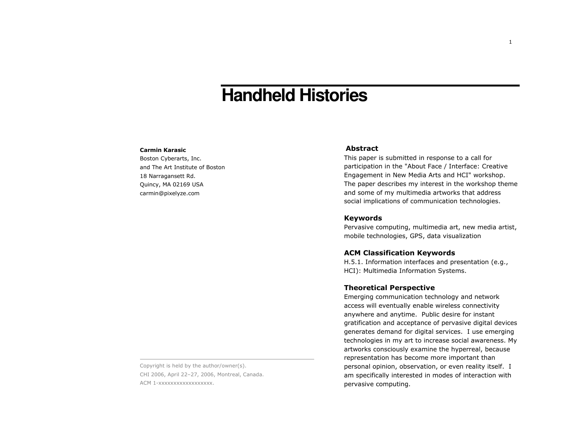# **Handheld Histories**

#### **Carmin Karasic**

Boston Cyberarts, Inc. and The Art Institute of Boston 18 Narragansett Rd. Quincy, MA 02169 USA carmin@pixelyze.com

Copyright is held by the author/owner(s). CHI 2006, April 22-27, 2006, Montreal, Canada. ACM 1-XXXXXXXXXXXXXXXXX.

# **Abstract**

This paper is submitted in response to a call for participation in the "About Face / Interface: Creative Engagement in New Media Arts and HCI" workshop. The paper describes my interest in the workshop theme and some of my multimedia artworks that address social implications of communication technologies.

## **Keywords**

Pervasive computing, multimedia art, new media artist, mobile technologies, GPS, data visualization

#### **ACM Classification Keywords**

H.5.1. Information interfaces and presentation (e.g., HCI): Multimedia Information Systems.

# **Theoretical Perspective**

Emerging communication technology and network access will eventually enable wireless connectivity anywhere and anytime. Public desire for instant gratification and acceptance of pervasive digital devices generates demand for digital services. I use emerging technologies in my art to increase social awareness. My artworks consciously examine the hyperreal, because representation has become more important than personal opinion, observation, or even reality itself. I am specifically interested in modes of interaction with pervasive computing.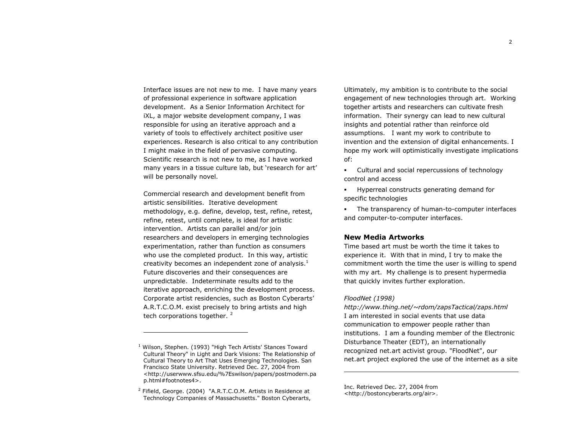$\overline{2}$ 

Interface issues are not new to me. I have many years of professional experience in software application development. As a Senior Information Architect for iXL, a major website development company, I was responsible for using an iterative approach and a variety of tools to effectively architect positive user experiences. Research is also critical to any contribution I might make in the field of pervasive computing. Scientific research is not new to me, as I have worked many years in a tissue culture lab, but 'research for art' will be personally novel.

Commercial research and development benefit from artistic sensibilities. Iterative development methodology, e.g. define, develop, test, refine, retest, refine, retest, until complete, is ideal for artistic intervention. Artists can parallel and/or join researchers and developers in emerging technologies experimentation, rather than function as consumers who use the completed product. In this way, artistic creativity becomes an independent zone of analysis. $<sup>1</sup>$ </sup> Future discoveries and their consequences are unpredictable. Indeterminate results add to the iterative approach, enriching the development process. Corporate artist residencies, such as Boston Cyberarts' A.R.T.C.O.M. exist precisely to bring artists and high tech corporations together.<sup>2</sup>

Ultimately, my ambition is to contribute to the social engagement of new technologies through art. Working together artists and researchers can cultivate fresh information. Their synergy can lead to new cultural insights and potential rather than reinforce old assumptions. I want my work to contribute to invention and the extension of digital enhancements. I hope my work will optimistically investigate implications of:

 $\mathbf{r}$ Cultural and social repercussions of technology control and access

• Hyperreal constructs generating demand for specific technologies

• The transparency of human-to-computer interfaces and computer-to-computer interfaces.

# **New Media Artworks**

Time based art must be worth the time it takes to experience it. With that in mind. I try to make the commitment worth the time the user is willing to spend with my art. My challenge is to present hypermedia that quickly invites further exploration.

#### FloodNet (1998)

http://www.thing.net/~rdom/zapsTactical/zaps.html I am interested in social events that use data communication to empower people rather than institutions. I am a founding member of the Electronic Disturbance Theater (EDT), an internationally recognized net.art activist group. "FloodNet", our net art project explored the use of the internet as a site

Inc. Retrieved Dec. 27, 2004 from <http://bostoncyberarts.org/air>.

<sup>&</sup>lt;sup>1</sup> Wilson, Stephen. (1993) "High Tech Artists' Stances Toward Cultural Theory" in Light and Dark Visions: The Relationship of Cultural Theory to Art That Uses Emerging Technologies. San Francisco State University. Retrieved Dec. 27, 2004 from <http://userwww.sfsu.edu/%7Eswilson/papers/postmodern.pa p.html#footnotes4>.

<sup>&</sup>lt;sup>2</sup> Fifield, George. (2004) "A.R.T.C.O.M. Artists in Residence at Technology Companies of Massachusetts." Boston Cyberarts,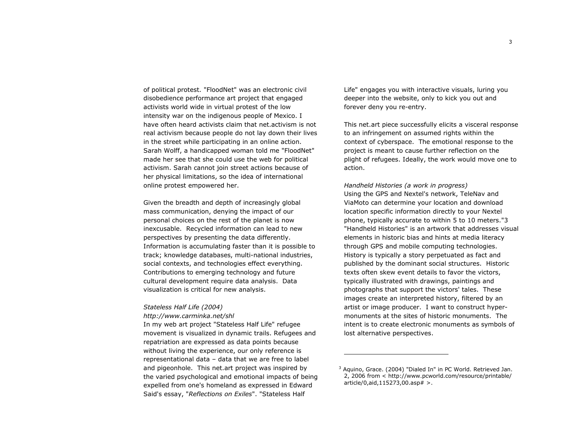of political protest. "FloodNet" was an electronic civil disobedience performance art project that engaged activists world wide in virtual protest of the low intensity war on the indigenous people of Mexico. I have often heard activists claim that net activism is not real activism because people do not lay down their lives in the street while participating in an online action. Sarah Wolff, a handicapped woman told me "FloodNet" made her see that she could use the web for political activism. Sarah cannot join street actions because of her physical limitations, so the idea of international online protest empowered her.

Given the breadth and depth of increasingly global mass communication, denying the impact of our personal choices on the rest of the planet is now inexcusable. Recycled information can lead to new perspectives by presenting the data differently. Information is accumulating faster than it is possible to track; knowledge databases, multi-national industries, social contexts, and technologies effect everything. Contributions to emerging technology and future cultural development require data analysis. Data visualization is critical for new analysis.

# Stateless Half Life (2004)

## http://www.carminka.net/shl

In my web art project "Stateless Half Life" refugee movement is visualized in dynamic trails. Refugees and repatriation are expressed as data points because without living the experience, our only reference is representational data - data that we are free to label and pigeonhole. This net.art project was inspired by the varied psychological and emotional impacts of being expelled from one's homeland as expressed in Edward Said's essay, "Reflections on Exiles". "Stateless Half

Life" engages you with interactive visuals, luring you deeper into the website, only to kick you out and forever deny you re-entry.

This net.art piece successfully elicits a visceral response to an infringement on assumed rights within the context of cyberspace. The emotional response to the project is meant to cause further reflection on the plight of refugees. Ideally, the work would move one to action.

Handheld Histories (a work in progress) Using the GPS and Nextel's network, TeleNav and ViaMoto can determine your location and download location specific information directly to your Nextel phone, typically accurate to within 5 to 10 meters."3 "Handheld Histories" is an artwork that addresses visual elements in historic bias and hints at media literacy through GPS and mobile computing technologies. History is typically a story perpetuated as fact and published by the dominant social structures. Historic texts often skew event details to favor the victors. typically illustrated with drawings, paintings and photographs that support the victors' tales. These images create an interpreted history, filtered by an artist or image producer. I want to construct hypermonuments at the sites of historic monuments. The intent is to create electronic monuments as symbols of lost alternative perspectives.

<sup>&</sup>lt;sup>3</sup> Aquino, Grace. (2004) "Dialed In" in PC World. Retrieved Jan. 2, 2006 from < http://www.pcworld.com/resource/printable/  $article/0$ , aid,  $115273$ , 00. asp $# >$ .